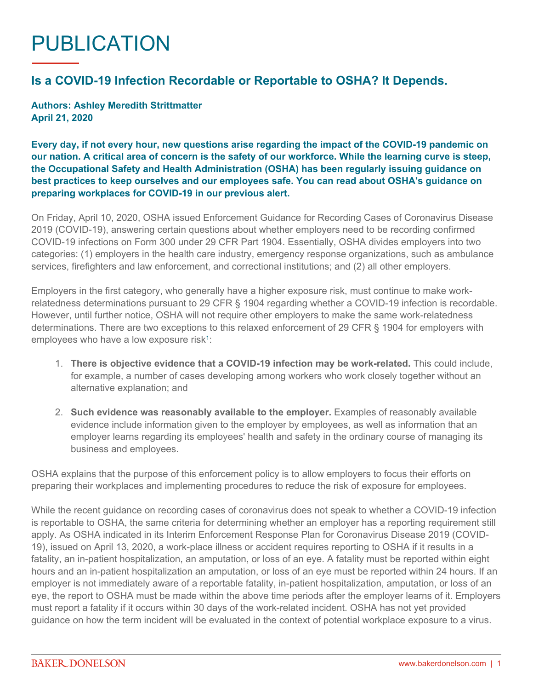## PUBLICATION

## **Is a COVID-19 Infection Recordable or Reportable to OSHA? It Depends.**

**Authors: Ashley Meredith Strittmatter April 21, 2020**

**Every day, if not every hour, new questions arise regarding the impact of the COVID-19 pandemic on our nation. A critical area of concern is the safety of our workforce. While the learning curve is steep, the Occupational Safety and Health Administration (OSHA) has been regularly issuing guidance on best practices to keep ourselves and our employees safe. You can read about OSHA's guidance on preparing workplaces for COVID-19 in our [previous alert](https://www.bakerdonelson.com/oshas-guidance-on-preparing-workplaces-for-covid-19).**

On Friday, April 10, 2020, OSHA issued Enforcement Guidance for Recording Cases of Coronavirus Disease 2019 (COVID-19), answering certain questions about whether employers need to be recording confirmed COVID-19 infections on Form 300 under 29 CFR Part 1904. Essentially, OSHA divides employers into two categories: (1) employers in the health care industry, emergency response organizations, such as ambulance services, firefighters and law enforcement, and correctional institutions; and (2) all other employers.

Employers in the first category, who generally have a higher exposure risk, must continue to make workrelatedness determinations pursuant to 29 CFR § 1904 regarding whether a COVID-19 infection is recordable. However, until further notice, OSHA will not require other employers to make the same work-relatedness determinations. There are two exceptions to this relaxed enforcement of 29 CFR § 1904 for employers with employees who have a low exposure risk<sup>[1](#page-1-0)</sup>:

- 1. **There is objective evidence that a COVID-19 infection may be work-related.** This could include, for example, a number of cases developing among workers who work closely together without an alternative explanation; and
- 2. **Such evidence was reasonably available to the employer.** Examples of reasonably available evidence include information given to the employer by employees, as well as information that an employer learns regarding its employees' health and safety in the ordinary course of managing its business and employees.

OSHA explains that the purpose of this enforcement policy is to allow employers to focus their efforts on preparing their workplaces and implementing procedures to reduce the risk of exposure for employees.

While the recent guidance on recording cases of coronavirus does not speak to whether a COVID-19 infection is reportable to OSHA, the same criteria for determining whether an employer has a reporting requirement still apply. As OSHA indicated in its Interim Enforcement Response Plan for Coronavirus Disease 2019 (COVID-19), issued on April 13, 2020, a work-place illness or accident requires reporting to OSHA if it results in a fatality, an in-patient hospitalization, an amputation, or loss of an eye. A fatality must be reported within eight hours and an in-patient hospitalization an amputation, or loss of an eye must be reported within 24 hours. If an employer is not immediately aware of a reportable fatality, in-patient hospitalization, amputation, or loss of an eye, the report to OSHA must be made within the above time periods after the employer learns of it. Employers must report a fatality if it occurs within 30 days of the work-related incident. OSHA has not yet provided guidance on how the term incident will be evaluated in the context of potential workplace exposure to a virus.